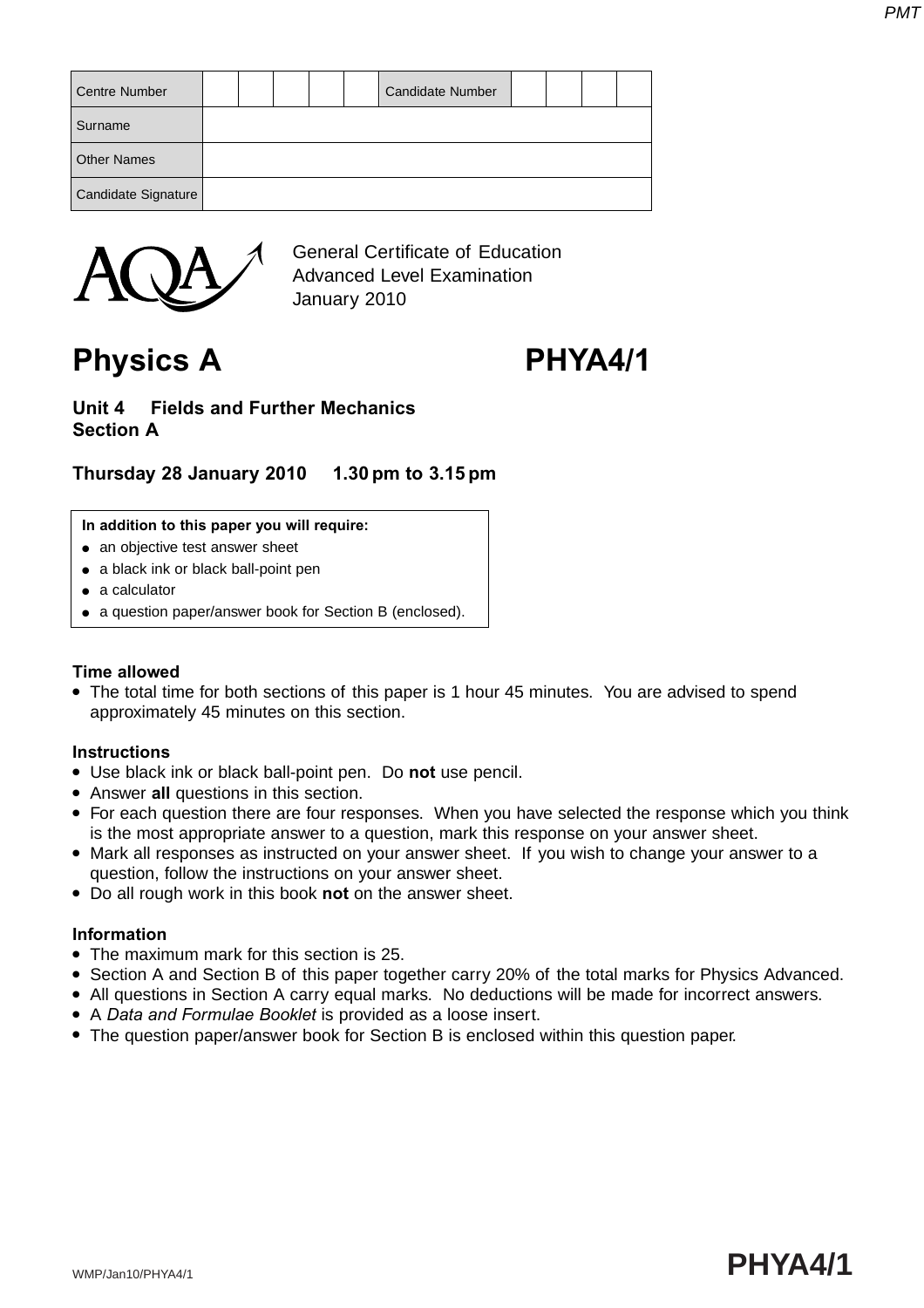| <b>Centre Number</b> |  |  | Candidate Number |  |  |
|----------------------|--|--|------------------|--|--|
| Surname              |  |  |                  |  |  |
| <b>Other Names</b>   |  |  |                  |  |  |
| Candidate Signature  |  |  |                  |  |  |



General Certificate of Education Advanced Level Examination January 2010

**Physics A PHYA4/1**

#### **Unit 4 Fields and Further Mechanics Section A**

## **Thursday 28 January 2010 1.30 pm to 3.15 pm**

#### **In addition to this paper you will require:**

- an objective test answer sheet
- a black ink or black ball-point pen
- a calculator
- a question paper/answer book for Section B (enclosed).

#### **Time allowed**

• The total time for both sections of this paper is 1 hour 45 minutes. You are advised to spend approximately 45 minutes on this section.

#### **Instructions**

- Use black ink or black ball-point pen. Do **not** use pencil.
- Answer **all** questions in this section.
- For each question there are four responses. When you have selected the response which you think is the most appropriate answer to a question, mark this response on your answer sheet.
- Mark all responses as instructed on your answer sheet. If you wish to change your answer to a question, follow the instructions on your answer sheet.
- Do all rough work in this book **not** on the answer sheet.

#### **Information**

- The maximum mark for this section is 25.
- Section A and Section B of this paper together carry 20% of the total marks for Physics Advanced.
- All questions in Section A carry equal marks. No deductions will be made for incorrect answers.
- A *Data and Formulae Booklet* is provided as a loose insert.
- The question paper/answer book for Section B is enclosed within this question paper.

# WMP/Jan10/PHYA4/1 **PHYA4/1**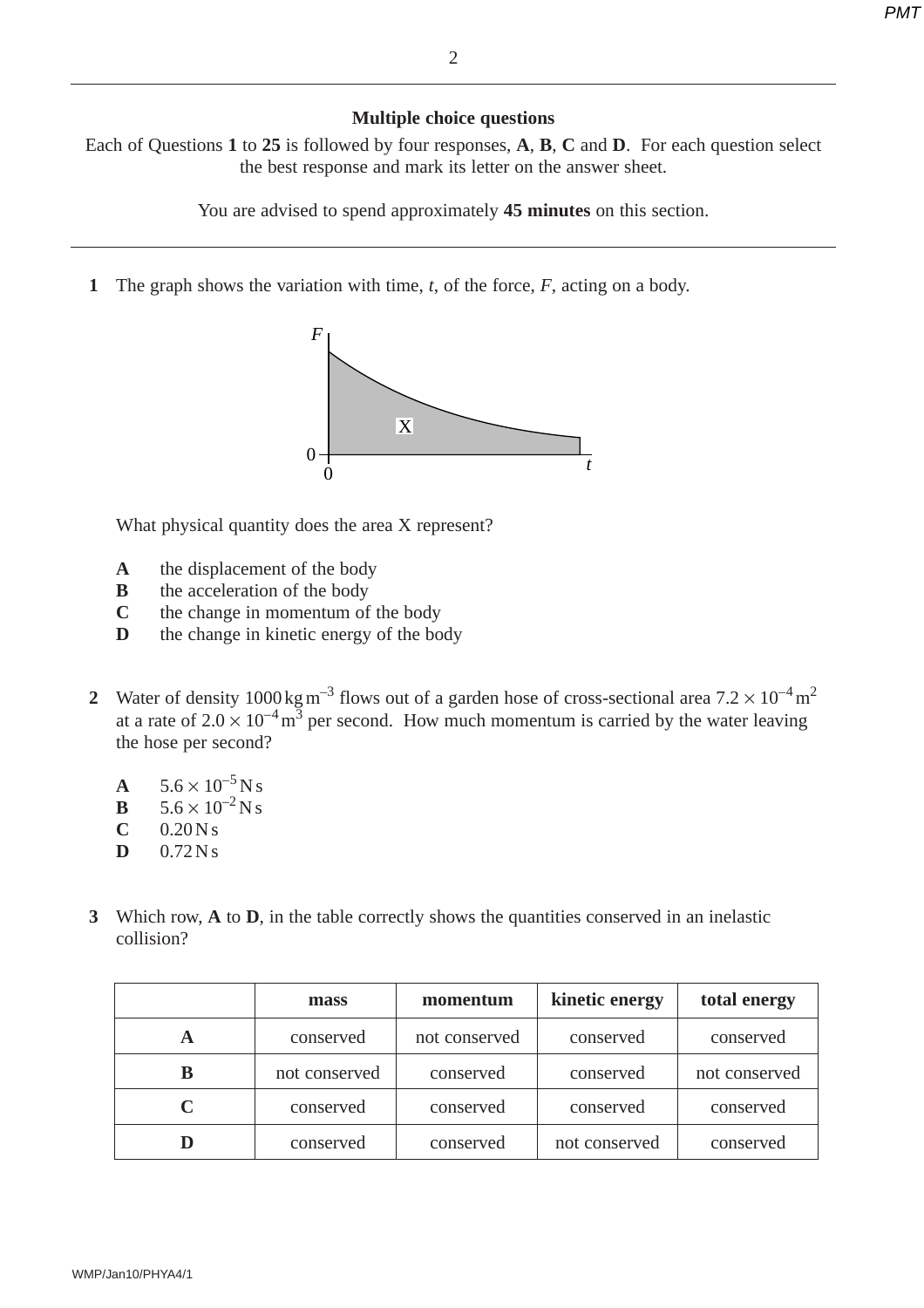#### **Multiple choice questions**

Each of Questions **1** to **25** is followed by four responses, **A**, **B**, **C** and **D**. For each question select the best response and mark its letter on the answer sheet.

You are advised to spend approximately **45 minutes** on this section.

**1** The graph shows the variation with time, *t*, of the force, *F*, acting on a body.



What physical quantity does the area X represent?

- **A** the displacement of the body
- **B** the acceleration of the body
- **C** the change in momentum of the body
- **D** the change in kinetic energy of the body
- **2** Water of density  $1000 \text{ kg m}^{-3}$  flows out of a garden hose of cross-sectional area  $7.2 \times 10^{-4} \text{ m}^2$ at a rate of  $2.0 \times 10^{-4}$  m<sup>3</sup> per second. How much momentum is carried by the water leaving the hose per second?
	- **A**  $5.6 \times 10^{-5}$  N s<br>**B**  $5.6 \times 10^{-2}$  N s
	- $5.6 \times 10^{-2}$  N s
	- $C = 0.20 N s$
	- $D = 0.72 N s$
- **3** Which row, **A** to **D**, in the table correctly shows the quantities conserved in an inelastic collision?

|   | mass          | momentum      | kinetic energy | total energy  |
|---|---------------|---------------|----------------|---------------|
| A | conserved     | not conserved | conserved      | conserved     |
|   | not conserved | conserved     | conserved      | not conserved |
|   | conserved     | conserved     | conserved      | conserved     |
|   | conserved     | conserved     | not conserved  | conserved     |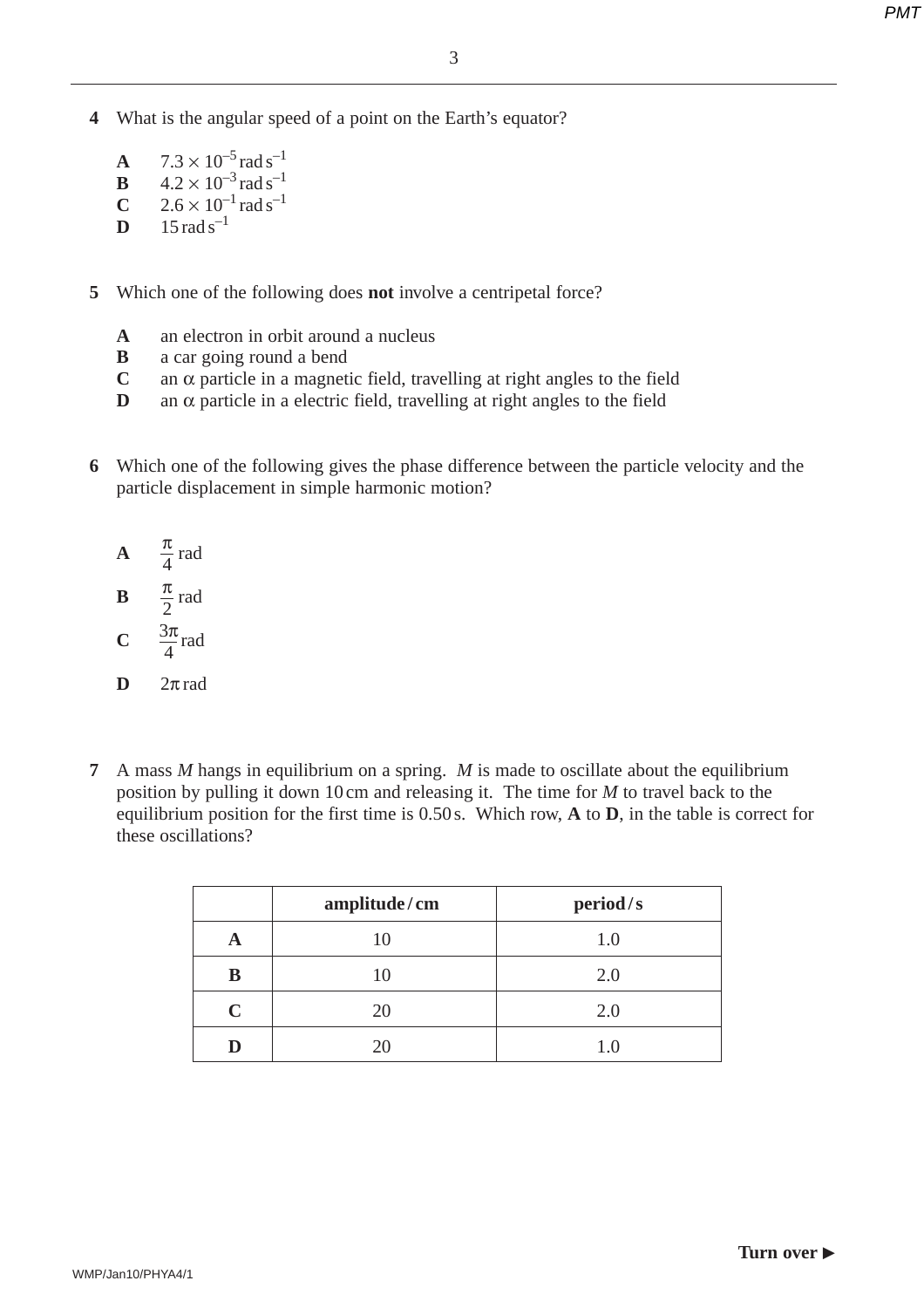- **4** What is the angular speed of a point on the Earth's equator?
	- **A**  $7.3 \times 10^{-5}$  rad s<sup>-1</sup> **B**  $4.2 \times 10^{-3}$  rad s<sup>-1</sup> **C**  $2.6 \times 10^{-1}$  rad s<sup>-1</sup> **D**  $15 \text{ rad s}^{-1}$
- **5** Which one of the following does **not** involve a centripetal force?
	- **A** an electron in orbit around a nucleus
	- **B** a car going round a bend
	- **C** an α particle in a magnetic field, travelling at right angles to the field
	- **D** an  $\alpha$  particle in a electric field, travelling at right angles to the field
- **6** Which one of the following gives the phase difference between the particle velocity and the particle displacement in simple harmonic motion?
	- **A**  $\frac{\pi}{4}$  rad **B**  $\frac{\pi}{2}$  rad 4 2
	- **C**  $\frac{3\pi}{4}$  rad 4
	- $D$  2 $\pi$  rad
- **7** A mass *M* hangs in equilibrium on a spring. *M* is made to oscillate about the equilibrium position by pulling it down 10 cm and releasing it. The time for *M* to travel back to the equilibrium position for the first time is 0.50 s. Which row, **A** to **D**, in the table is correct for these oscillations?

|             | amplitude/cm | period/s |
|-------------|--------------|----------|
|             | 10           | 1.0      |
| В           | 10           | 2.0      |
| $\mathbf C$ | 20           | 2.0      |
|             | 20           |          |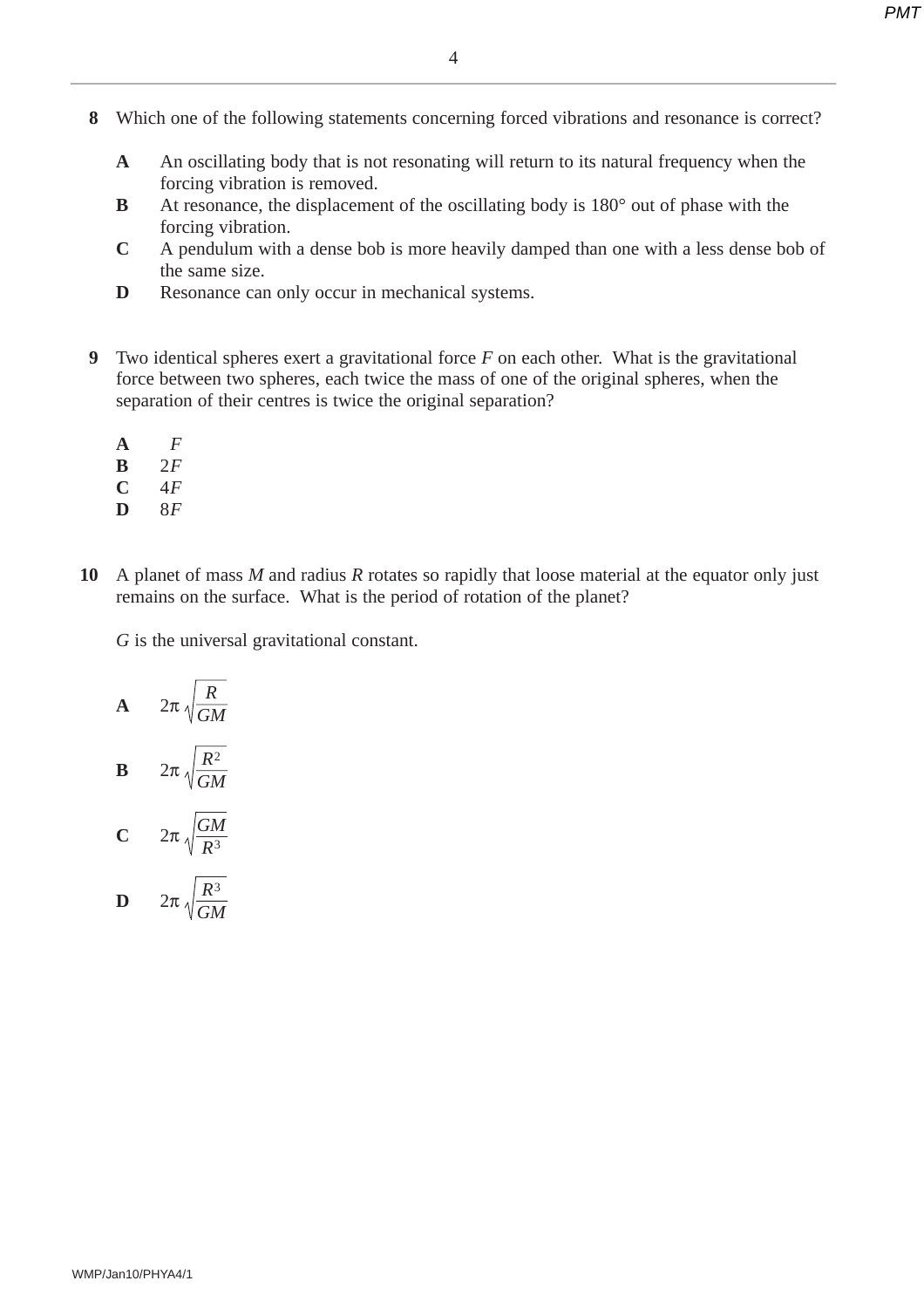- **8** Which one of the following statements concerning forced vibrations and resonance is correct?
	- **A** An oscillating body that is not resonating will return to its natural frequency when the forcing vibration is removed.
	- **B** At resonance, the displacement of the oscillating body is 180° out of phase with the forcing vibration.
	- **C** A pendulum with a dense bob is more heavily damped than one with a less dense bob of the same size.
	- **D** Resonance can only occur in mechanical systems.
- **9** Two identical spheres exert a gravitational force *F* on each other. What is the gravitational force between two spheres, each twice the mass of one of the original spheres, when the separation of their centres is twice the original separation?
	- **A** *F*
	- $\frac{B}{C}$   $\frac{2F}{4F}$
	- **C** 4*F*
	- **D** 8*F*
- **10** A planet of mass *M* and radius *R* rotates so rapidly that loose material at the equator only just remains on the surface. What is the period of rotation of the planet?

*G* is the universal gravitational constant.

**A** 
$$
2\pi \sqrt{\frac{R}{GM}}
$$
  
\n**B**  $2\pi \sqrt{\frac{R^2}{GM}}$   
\n**C**  $2\pi \sqrt{\frac{GM}{R^3}}$   
\n**D**  $2\pi \sqrt{\frac{R^3}{GM}}$ 

*GM*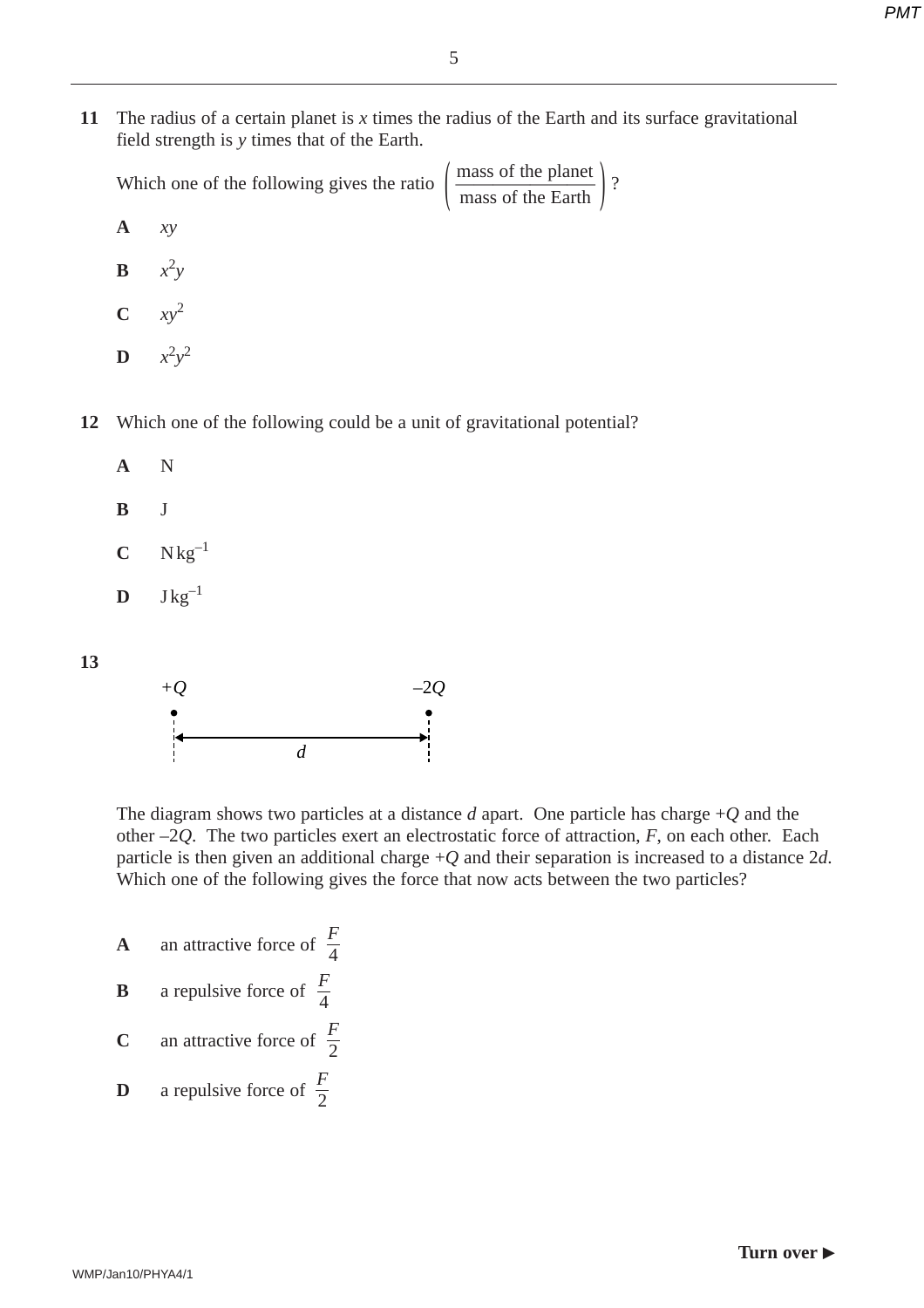**11** The radius of a certain planet is *x* times the radius of the Earth and its surface gravitational field strength is *y* times that of the Earth.

|                     | Which one of the following gives the ratio $\left(\frac{\text{mass of the planet}}{\text{mass of the Earth}}\right)$ ? |  |
|---------------------|------------------------------------------------------------------------------------------------------------------------|--|
| $A \quad xy$        |                                                                                                                        |  |
| $\mathbf{B}$ $x^2y$ |                                                                                                                        |  |
| $C \quad xy^2$      |                                                                                                                        |  |
|                     | $\mathbf{D}$ $x^2y^2$                                                                                                  |  |

**12** Which one of the following could be a unit of gravitational potential?



- **B** J
- $C$  N kg<sup>-1</sup>
- $D$  J kg<sup>-1</sup>

**13**



The diagram shows two particles at a distance *d* apart. One particle has charge +*Q* and the other –2*Q*. The two particles exert an electrostatic force of attraction, *F*, on each other. Each particle is then given an additional charge +*Q* and their separation is increased to a distance 2*d*. Which one of the following gives the force that now acts between the two particles?

- **A** an attractive force of  $\frac{F}{4}$ 4
- **B** a repulsive force of  $\frac{F}{4}$ 4
- **C** an attractive force of  $\frac{F}{2}$ 2
- **D** a repulsive force of  $\frac{F}{2}$ 2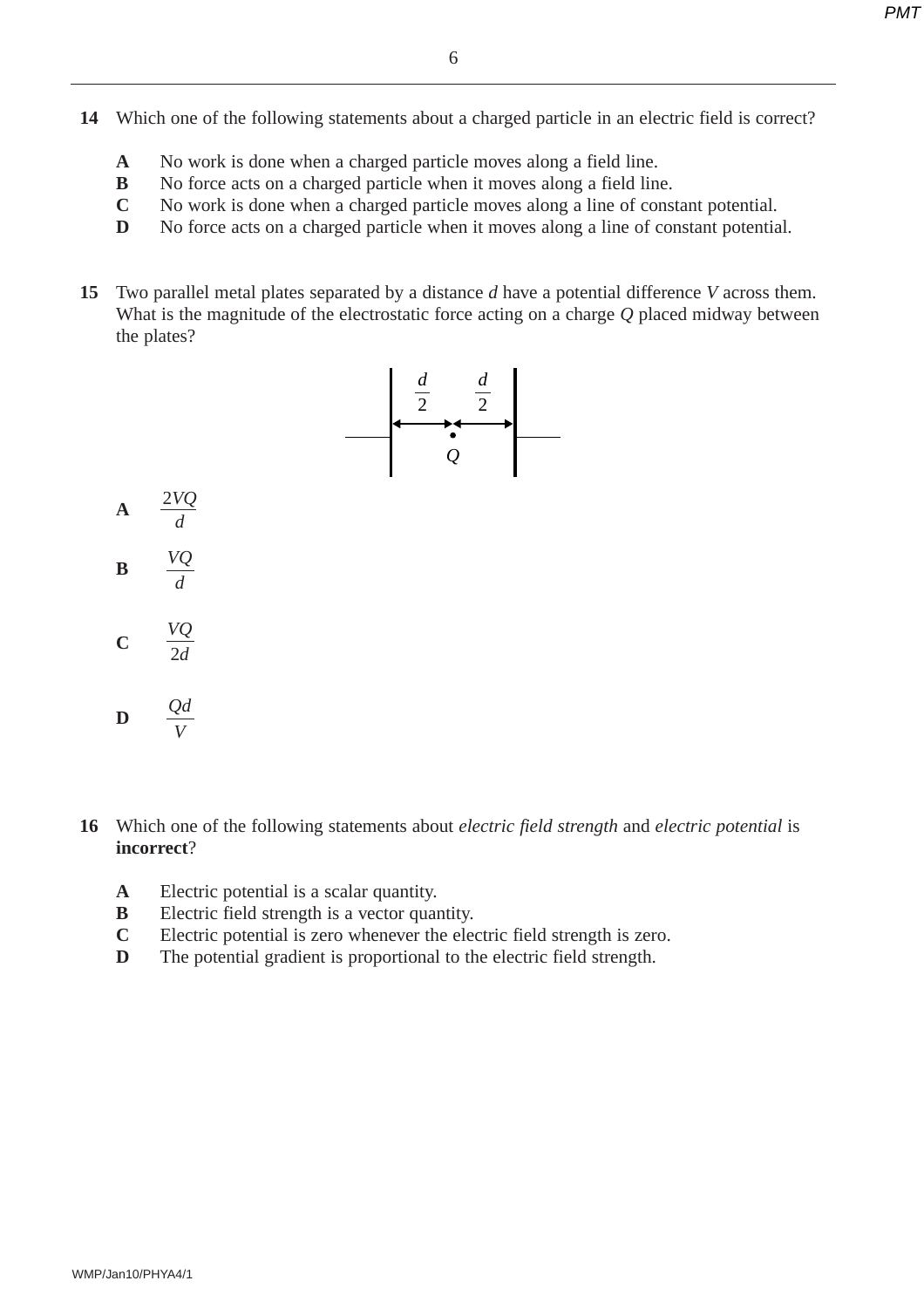- **14** Which one of the following statements about a charged particle in an electric field is correct?
	- **A** No work is done when a charged particle moves along a field line.
	- **B** No force acts on a charged particle when it moves along a field line.
	- **C** No work is done when a charged particle moves along a line of constant potential.
	- **D** No force acts on a charged particle when it moves along a line of constant potential.
- **15** Two parallel metal plates separated by a distance *d* have a potential difference *V* across them. What is the magnitude of the electrostatic force acting on a charge *Q* placed midway between the plates?



- **16** Which one of the following statements about *electric field strength* and *electric potential* is **incorrect**?
	- **A** Electric potential is a scalar quantity.
	- **B** Electric field strength is a vector quantity.
	- **C** Electric potential is zero whenever the electric field strength is zero.
	- **D** The potential gradient is proportional to the electric field strength.

**A**

**B**

**C**

**D**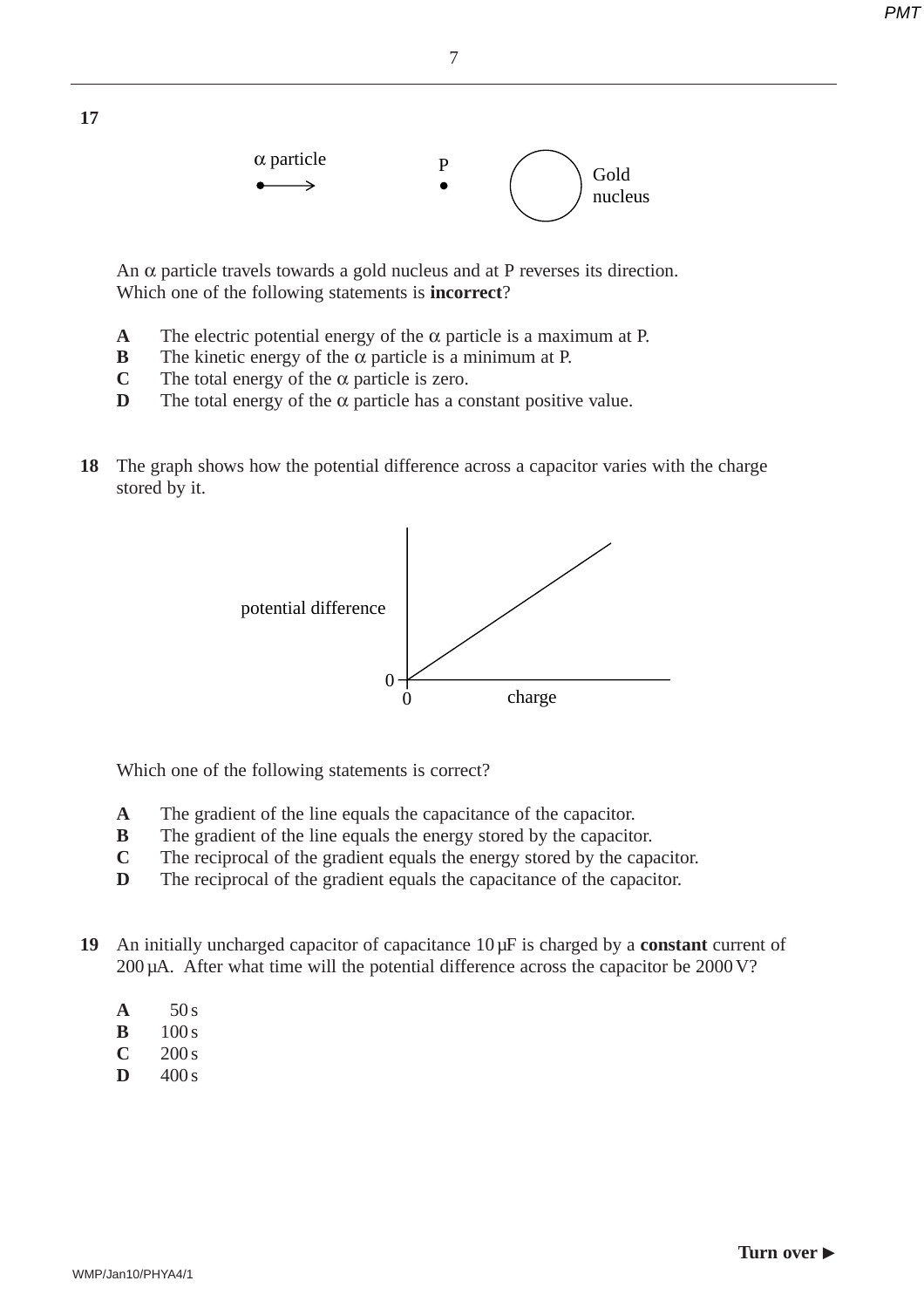

An  $\alpha$  particle travels towards a gold nucleus and at P reverses its direction. Which one of the following statements is **incorrect**?

- **A** The electric potential energy of the  $\alpha$  particle is a maximum at P.
- **B** The kinetic energy of the  $\alpha$  particle is a minimum at P.
- **C** The total energy of the  $\alpha$  particle is zero.
- **D** The total energy of the  $\alpha$  particle has a constant positive value.
- **18** The graph shows how the potential difference across a capacitor varies with the charge stored by it.



Which one of the following statements is correct?

- **A** The gradient of the line equals the capacitance of the capacitor.
- **B** The gradient of the line equals the energy stored by the capacitor.
- **C** The reciprocal of the gradient equals the energy stored by the capacitor.
- **D** The reciprocal of the gradient equals the capacitance of the capacitor.
- **19** An initially uncharged capacitor of capacitance 10 µF is charged by a **constant** current of 200 µA. After what time will the potential difference across the capacitor be 2000 V?
	- $A = 50 s$

**17**

- **B**  $100 s$
- $C = 200 s$
- $D = 400 s$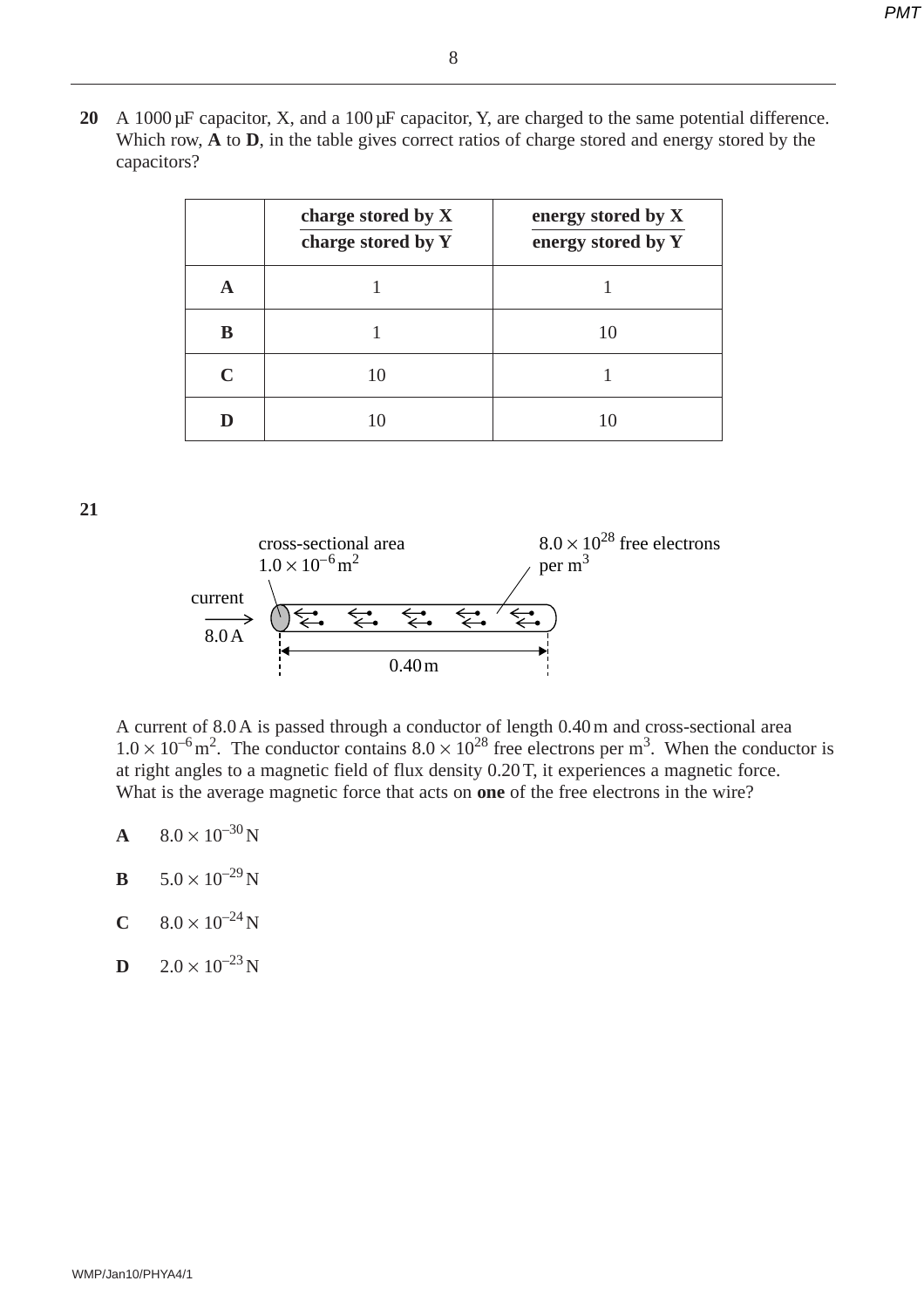**20** A 1000 µF capacitor, X, and a 100 µF capacitor, Y, are charged to the same potential difference. Which row, **A** to **D**, in the table gives correct ratios of charge stored and energy stored by the capacitors?

|   | charge stored by X<br>charge stored by Y | energy stored by X<br>energy stored by Y |
|---|------------------------------------------|------------------------------------------|
| A |                                          |                                          |
| B |                                          | 10                                       |
| C | 10                                       |                                          |
|   |                                          | 10                                       |

**21**



A current of 8.0 A is passed through a conductor of length 0.40 m and cross-sectional area  $1.0 \times 10^{-6}$  m<sup>2</sup>. The conductor contains  $8.0 \times 10^{28}$  free electrons per m<sup>3</sup>. When the conductor is at right angles to a magnetic field of flux density 0.20 T, it experiences a magnetic force. What is the average magnetic force that acts on **one** of the free electrons in the wire?

- **A**  $8.0 \times 10^{-30}$  N
- **B**  $5.0 \times 10^{-29}$ N
- **C**  $8.0 \times 10^{-24}$  N
- **D**  $2.0 \times 10^{-23}$  N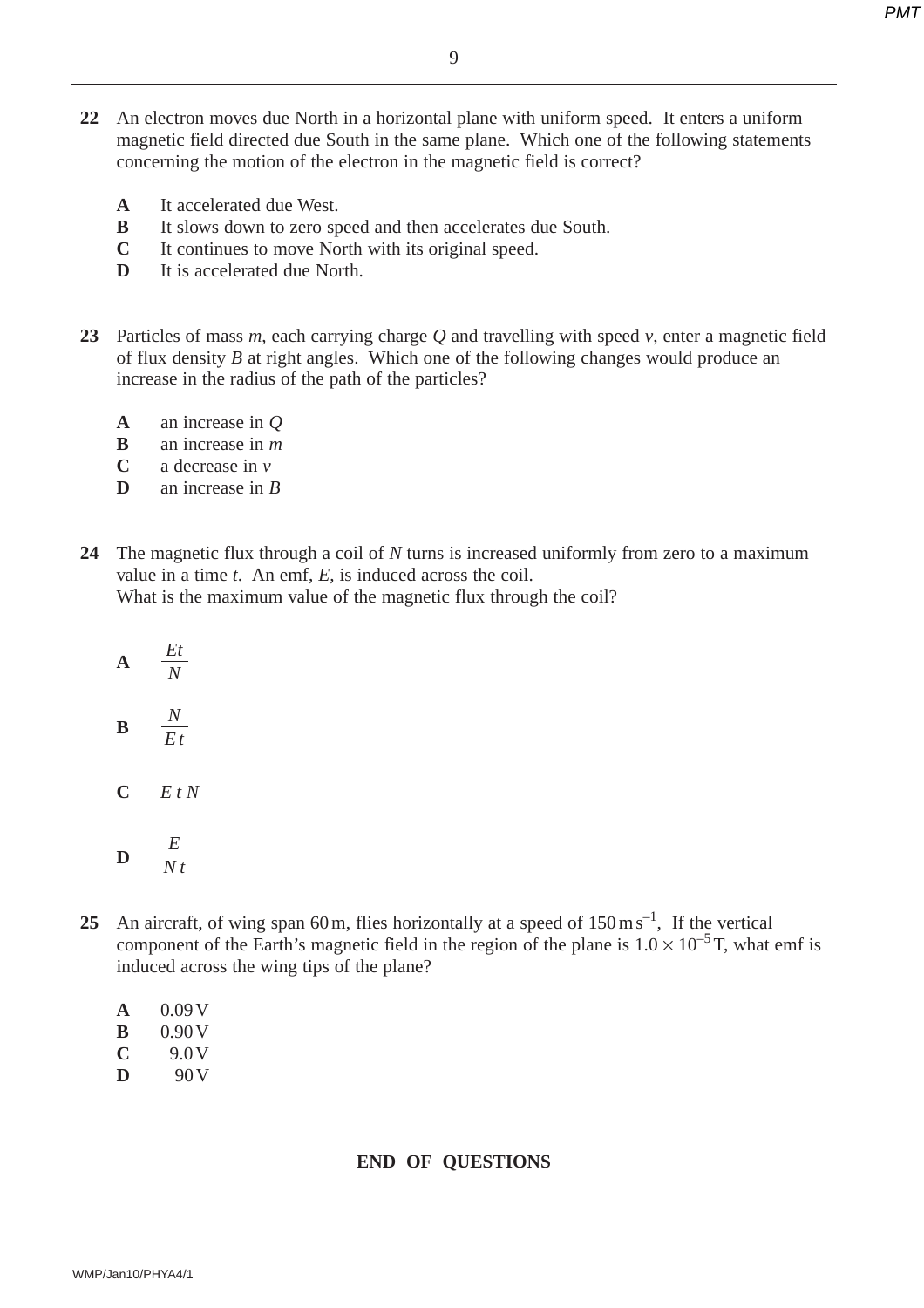- **22** An electron moves due North in a horizontal plane with uniform speed. It enters a uniform magnetic field directed due South in the same plane. Which one of the following statements concerning the motion of the electron in the magnetic field is correct?
	- **A** It accelerated due West.
	- **B** It slows down to zero speed and then accelerates due South.
	- **C** It continues to move North with its original speed.
	- **D** It is accelerated due North.
- **23** Particles of mass *m*, each carrying charge *Q* and travelling with speed *v*, enter a magnetic field of flux density *B* at right angles. Which one of the following changes would produce an increase in the radius of the path of the particles?
	- **A** an increase in *Q*
	- **B** an increase in *m*
	- **C** a decrease in *v*
	- **D** an increase in *B*
- **24** The magnetic flux through a coil of *N* turns is increased uniformly from zero to a maximum value in a time *t*. An emf, *E*, is induced across the coil. What is the maximum value of the magnetic flux through the coil?

$$
\mathbf{A} = \frac{Et}{N}
$$

$$
\mathbf{B} = \frac{N}{E t}
$$

**C** *EtN*

$$
\mathbf{D} = \frac{E}{N t}
$$

25 An aircraft, of wing span 60 m, flies horizontally at a speed of  $150 \text{ m s}^{-1}$ , If the vertical component of the Earth's magnetic field in the region of the plane is  $1.0 \times 10^{-5}$  T, what emf is induced across the wing tips of the plane?

| A | 0.09V |
|---|-------|
| ĸ | 0.90V |
| Ċ | 9.O V |
| D | 90 V  |

### **END OF QUESTIONS**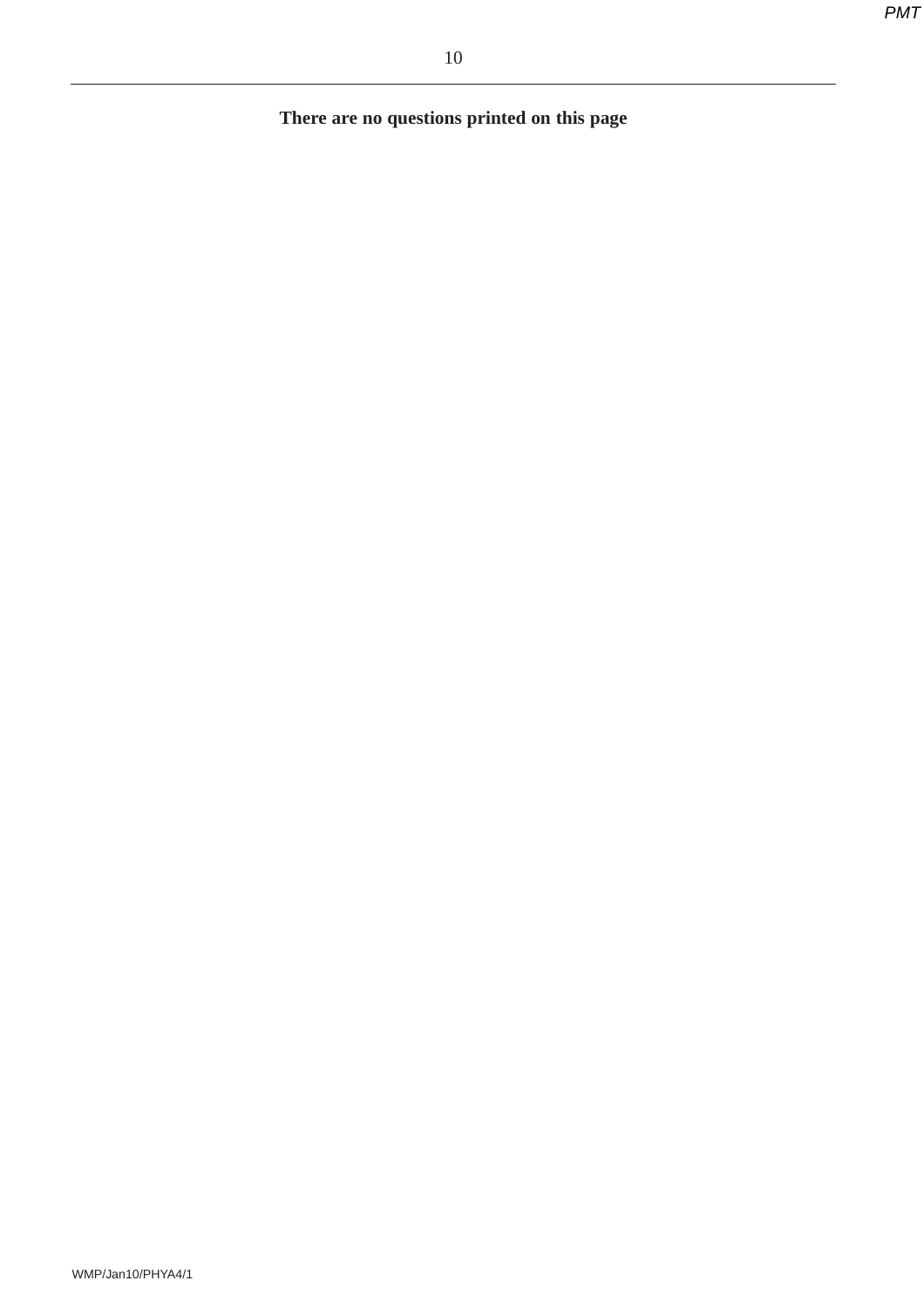**There are no questions printed on this page**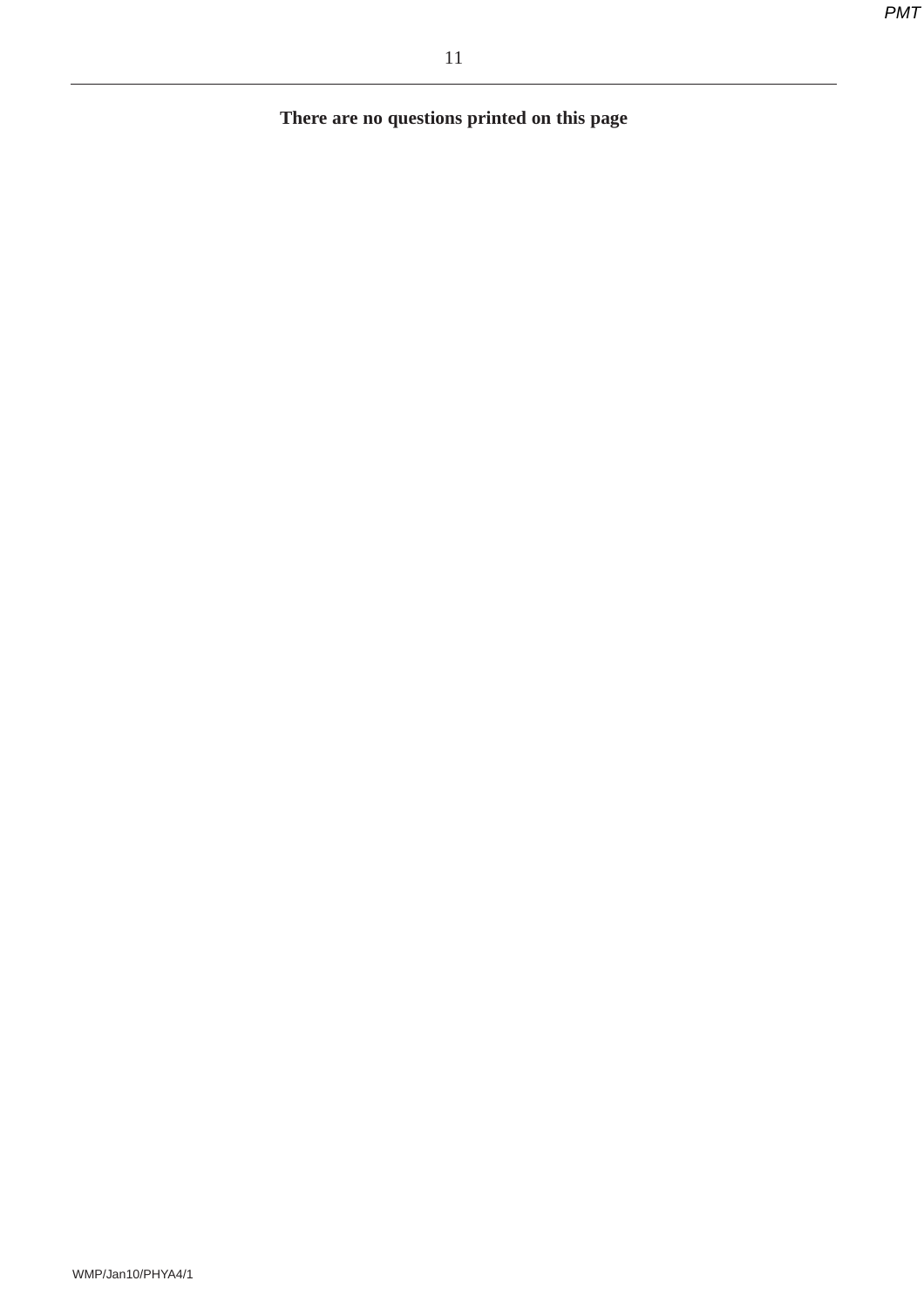**There are no questions printed on this page**